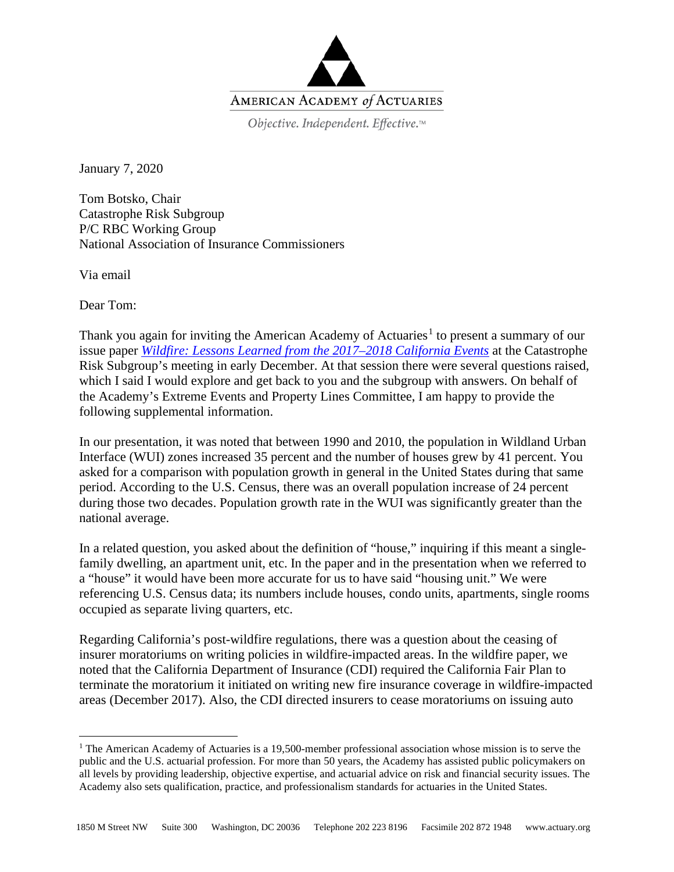

Objective. Independent. Effective.™

January 7, 2020

Tom Botsko, Chair Catastrophe Risk Subgroup P/C RBC Working Group National Association of Insurance Commissioners

Via email

Dear Tom:

Thank you again for inviting the American Academy of Actuaries<sup>[1](#page-0-0)</sup> to present a summary of our issue paper *[Wildfire: Lessons Learned from the 2017–2018 California Events](https://www.actuary.org/sites/default/files/2019-06/Wildfire.IssuePaper_0.pdf)* at the Catastrophe Risk Subgroup's meeting in early December. At that session there were several questions raised, which I said I would explore and get back to you and the subgroup with answers. On behalf of the Academy's Extreme Events and Property Lines Committee, I am happy to provide the following supplemental information.

In our presentation, it was noted that between 1990 and 2010, the population in Wildland Urban Interface (WUI) zones increased 35 percent and the number of houses grew by 41 percent. You asked for a comparison with population growth in general in the United States during that same period. According to the U.S. Census, there was an overall population increase of 24 percent during those two decades. Population growth rate in the WUI was significantly greater than the national average.

In a related question, you asked about the definition of "house," inquiring if this meant a singlefamily dwelling, an apartment unit, etc. In the paper and in the presentation when we referred to a "house" it would have been more accurate for us to have said "housing unit." We were referencing U.S. Census data; its numbers include houses, condo units, apartments, single rooms occupied as separate living quarters, etc.

Regarding California's post-wildfire regulations, there was a question about the ceasing of insurer moratoriums on writing policies in wildfire-impacted areas. In the wildfire paper, we noted that the California Department of Insurance (CDI) required the California Fair Plan to terminate the moratorium it initiated on writing new fire insurance coverage in wildfire-impacted areas (December 2017). Also, the CDI directed insurers to cease moratoriums on issuing auto

<span id="page-0-0"></span><sup>&</sup>lt;sup>1</sup> The American Academy of Actuaries is a 19,500-member professional association whose mission is to serve the public and the U.S. actuarial profession. For more than 50 years, the Academy has assisted public policymakers on all levels by providing leadership, objective expertise, and actuarial advice on risk and financial security issues. The Academy also sets qualification, practice, and professionalism standards for actuaries in the United States.